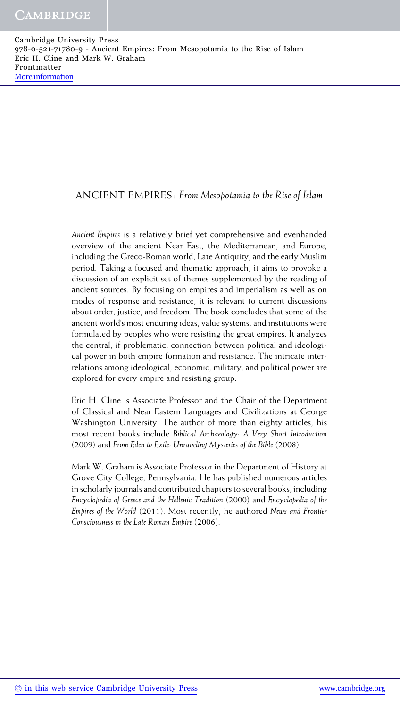## ANCIENT EMPIRES: *From Mesopotamia to the Rise of Islam*

*Ancient Empires* is a relatively brief yet comprehensive and evenhanded overview of the ancient Near East, the Mediterranean, and Europe, including the Greco-Roman world, Late Antiquity, and the early Muslim period. Taking a focused and thematic approach, it aims to provoke a discussion of an explicit set of themes supplemented by the reading of ancient sources. By focusing on empires and imperialism as well as on modes of response and resistance, it is relevant to current discussions about order, justice, and freedom. The book concludes that some of the ancient world's most enduring ideas, value systems, and institutions were formulated by peoples who were resisting the great empires. It analyzes the central, if problematic, connection between political and ideological power in both empire formation and resistance. The intricate interrelations among ideological, economic, military, and political power are explored for every empire and resisting group.

Eric H. Cline is Associate Professor and the Chair of the Department of Classical and Near Eastern Languages and Civilizations at George Washington University. The author of more than eighty articles, his most recent books include *Biblical Archaeology: A Very Short Introduction* (2009) and *From Eden to Exile: Unraveling Mysteries of the Bible* (2008).

Mark W. Graham is Associate Professor in the Department of History at Grove City College, Pennsylvania. He has published numerous articles in scholarly journals and contributed chapters to several books, including *Encyclopedia of Greece and the Hellenic Tradition* (2000) and *Encyclopedia of the Empires of the World* (2011). Most recently, he authored *News and Frontier Consciousness in the Late Roman Empire* (2006).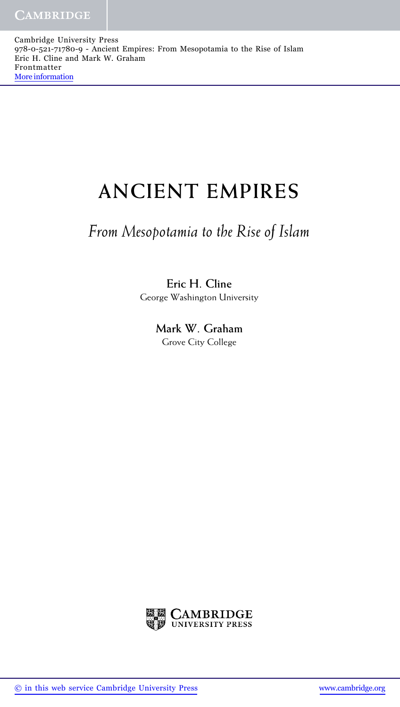Cambridge University Press 978-0-521-71780-9 - Ancient Empires: From Mesopotamia to the Rise of Islam Eric H. Cline and Mark W. Graham Frontmatter [More information](http://www.cambridge.org/9780521717809)

# **ANCIENT EMPIRES**

## *From Mesopotamia to the Rise of Islam*

## **Eric H. Cline** George Washington University

**Mark W. Graham** Grove City College

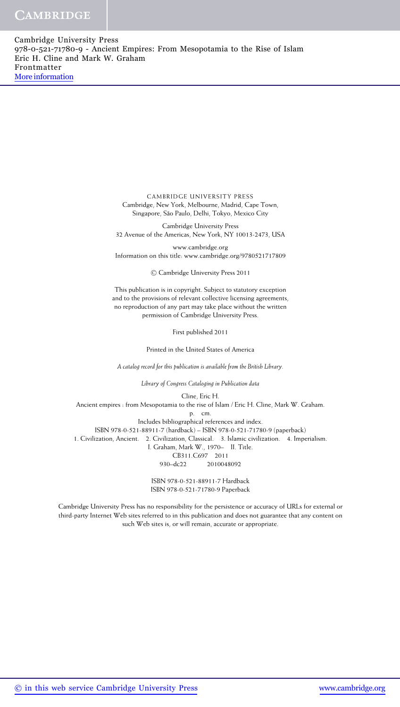CAMBRIDGE UNIVERSITY PRESS Cambridge, New York, Melbourne, Madrid, Cape Town, Singapore, São Paulo, Delhi, Tokyo, Mexico City

Cambridge University Press 32 Avenue of the Americas, New York, NY 10013-2473, USA

www.cambridge.org Information on this title: www.cambridge.org/9780521717809

<sup>C</sup> Cambridge University Press 2011

This publication is in copyright. Subject to statutory exception and to the provisions of relevant collective licensing agreements, no reproduction of any part may take place without the written permission of Cambridge University Press.

First published 2011

Printed in the United States of America

*A catalog record for this publication is available from the British Library.*

*Library of Congress Cataloging in Publication data*

Cline, Eric H. Ancient empires : from Mesopotamia to the rise of Islam / Eric H. Cline, Mark W. Graham. p. cm. Includes bibliographical references and index. ISBN 978-0-521-88911-7 (hardback) – ISBN 978-0-521-71780-9 (paperback) 1. Civilization, Ancient. 2. Civilization, Classical. 3. Islamic civilization. 4. Imperialism. I. Graham, Mark W., 1970– II. Title. CB311.C697 2011 930–dc22 2010048092

> ISBN 978-0-521-88911-7 Hardback ISBN 978-0-521-71780-9 Paperback

Cambridge University Press has no responsibility for the persistence or accuracy of URLs for external or third-party Internet Web sites referred to in this publication and does not guarantee that any content on such Web sites is, or will remain, accurate or appropriate.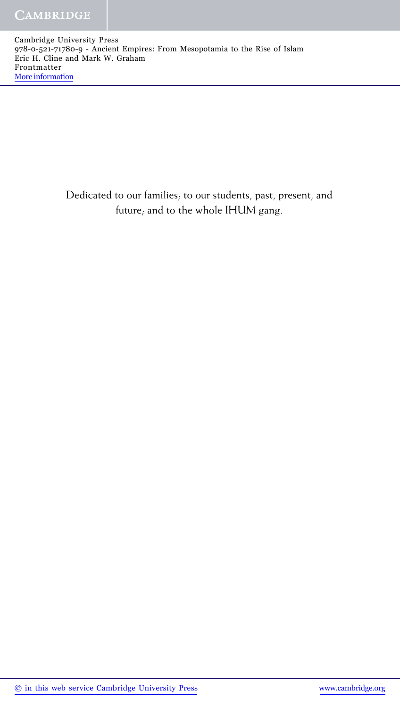Cambridge University Press 978-0-521-71780-9 - Ancient Empires: From Mesopotamia to the Rise of Islam Eric H. Cline and Mark W. Graham Frontmatter [More information](http://www.cambridge.org/9780521717809)

> Dedicated to our families; to our students, past, present, and future; and to the whole IHUM gang.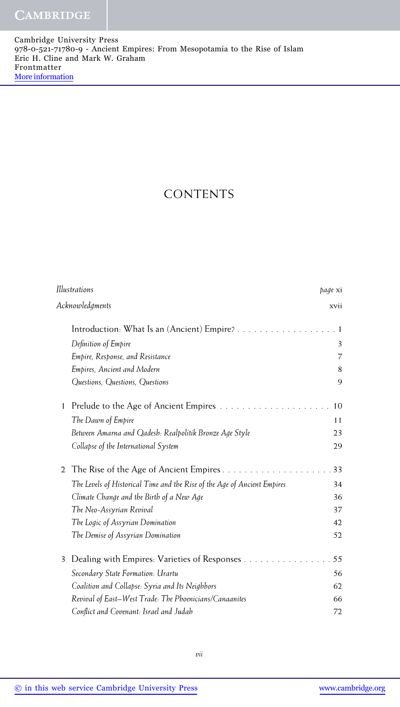## CONTENTS

| Illustrations |                                                                          | page xi        |
|---------------|--------------------------------------------------------------------------|----------------|
|               | Acknowledgments                                                          | xvii           |
|               | Introduction: What Is an (Ancient) Empire?                               | $\overline{1}$ |
|               | Definition of Empire                                                     | 3              |
|               | Empire, Response, and Resistance                                         | 7              |
|               | Empires, Ancient and Modern                                              | 8              |
|               | Questions, Questions, Questions                                          | 9              |
| 1             |                                                                          | 10             |
|               | The Dawn of Empire                                                       | 11             |
|               | Between Amarna and Qadesh: Realpolitik Bronze Age Style                  | 23             |
|               | Collapse of the International System                                     | 29             |
| 2             | The Rise of the Age of Ancient Empires                                   | 33             |
|               | The Levels of Historical Time and the Rise of the Age of Ancient Empires | 34             |
|               | Climate Change and the Birth of a New Age                                | 36             |
|               | The Neo-Assyrian Revival                                                 | 37             |
|               | The Logic of Assyrian Domination                                         | 42             |
|               | The Demise of Assyrian Domination                                        | 52             |
| 3             | Dealing with Empires: Varieties of Responses                             | 55             |
|               | Secondary State Formation: Urartu                                        | 56             |
|               | Coalition and Collapse: Syria and Its Neighbors                          | 62             |
|               | Revival of East-West Trade: The Phoenicians/Canaanites                   | 66             |
|               | Conflict and Covenant: Israel and Judah                                  | 72             |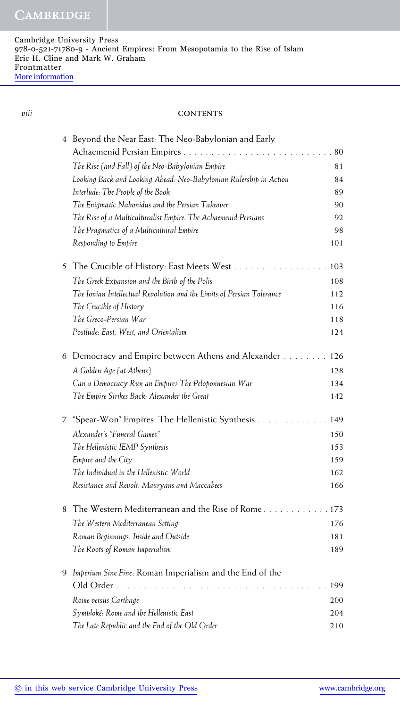### *viii* **CONTENTS**

|   | 4 Beyond the Near East: The Neo-Babylonian and Early                   |       |
|---|------------------------------------------------------------------------|-------|
|   |                                                                        | 80    |
|   | The Rise (and Fall) of the Neo-Babylonian Empire                       | 81    |
|   | Looking Back and Looking Ahead: Neo-Babylonian Rulership in Action     | 84    |
|   | Interlude: The People of the Book                                      | 89    |
|   | The Enigmatic Nabonidus and the Persian Takeover                       | 90    |
|   | The Rise of a Multiculturalist Empire: The Achaemenid Persians         | 92    |
|   | The Pragmatics of a Multicultural Empire                               | 98    |
|   | Responding to Empire                                                   | 101   |
| 5 | The Crucible of History: East Meets West                               | 103   |
|   | The Greek Expansion and the Birth of the Polis                         | 108   |
|   | The Ionian Intellectual Revolution and the Limits of Persian Tolerance | 112   |
|   | The Crucible of History                                                | 116   |
|   | The Greco-Persian War                                                  | 118   |
|   | Postlude: East, West, and Orientalism                                  | 124   |
|   | 6 Democracy and Empire between Athens and Alexander                    | 126   |
|   | A Golden Age (at Athens)                                               | 128   |
|   | Can a Democracy Run an Empire? The Peloponnesian War                   | 134   |
|   | The Empire Strikes Back: Alexander the Great                           | 142   |
| 7 | "Spear-Won" Empires: The Hellenistic Synthesis                         | 149   |
|   | Alexander's "Funeral Games"                                            | 150   |
|   | The Hellenistic IEMP Synthesis                                         | 153   |
|   | Empire and the City                                                    | 159   |
|   | The Individual in the Hellenistic World                                | 162   |
|   | Resistance and Revolt: Mauryans and Maccabees                          | 166   |
| 8 | The Western Mediterranean and the Rise of Rome                         | . 173 |
|   | The Western Mediterranean Setting                                      | 176   |
|   | Roman Beginnings: Inside and Outside                                   | 181   |
|   | The Roots of Roman Imperialism                                         | 189   |
| 9 | Imperium Sine Fine: Roman Imperialism and the End of the               |       |
|   | $\mathbf{1}$ and $\mathbf{1}$                                          | 199   |
|   | Rome versus Carthage                                                   | 200   |
|   | Symploké: Rome and the Hellenistic East                                | 204   |
|   | The Late Republic and the End of the Old Order                         | 210   |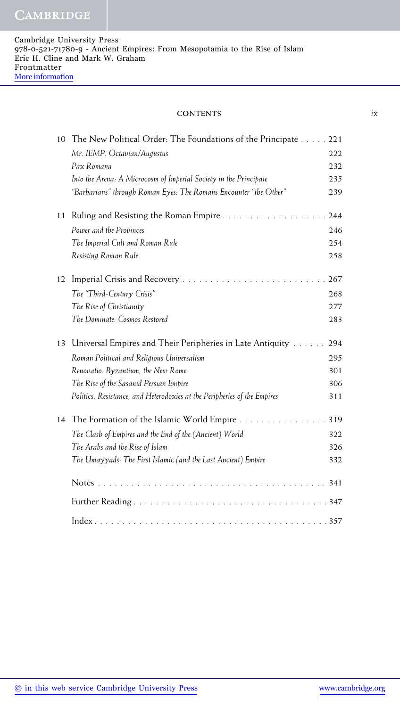**CAMBRIDGE** 

### **CONTENTS** *ix*

| 10 | The New Political Order: The Foundations of the Principate               | 221 |
|----|--------------------------------------------------------------------------|-----|
|    | Mr. IEMP: Octavian/Augustus                                              | 222 |
|    | Pax Romana                                                               | 232 |
|    | Into the Arena: A Microcosm of Imperial Society in the Principate        | 235 |
|    | "Barbarians" through Roman Eyes: The Romans Encounter "the Other"        | 239 |
| 11 | Ruling and Resisting the Roman Empire                                    | 244 |
|    | Power and the Provinces                                                  | 246 |
|    | The Imperial Cult and Roman Rule                                         | 254 |
|    | Resisting Roman Rule                                                     | 258 |
| 12 |                                                                          | 267 |
|    | The "Third-Century Crisis"                                               | 268 |
|    | The Rise of Christianity                                                 | 277 |
|    | The Dominate: Cosmos Restored                                            | 283 |
| 13 | Universal Empires and Their Peripheries in Late Antiquity                | 294 |
|    | Roman Political and Religious Universalism                               | 295 |
|    | Renovatio: Byzantium, the New Rome                                       | 301 |
|    | The Rise of the Sasanid Persian Empire                                   | 306 |
|    | Politics, Resistance, and Heterodoxies at the Peripheries of the Empires | 311 |
| 14 | The Formation of the Islamic World Empire                                | 319 |
|    | The Clash of Empires and the End of the (Ancient) World                  | 322 |
|    | The Arabs and the Rise of Islam                                          | 326 |
|    | The Umayyads: The First Islamic (and the Last Ancient) Empire            | 332 |
|    |                                                                          | 341 |
|    |                                                                          |     |
|    |                                                                          |     |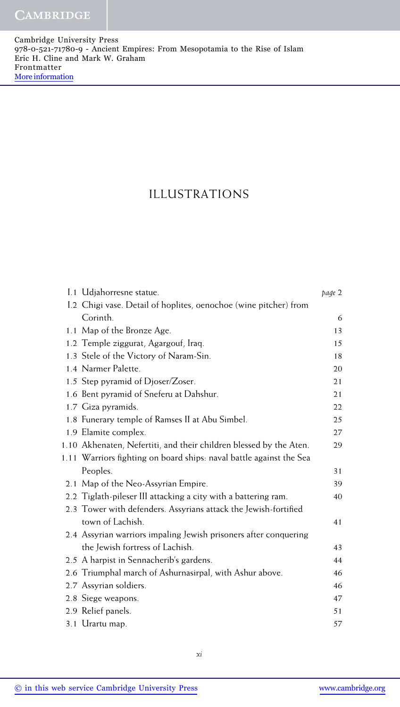## ILLUSTRATIONS

| I.1 Udjahorresne statue.                                            | page 2 |
|---------------------------------------------------------------------|--------|
| I.2 Chigi vase. Detail of hoplites, oenochoe (wine pitcher) from    |        |
| Corinth.                                                            | 6      |
| 1.1 Map of the Bronze Age.                                          | 13     |
| 1.2 Temple ziggurat, Agargouf, Iraq.                                | 15     |
| 1.3 Stele of the Victory of Naram-Sin.                              | 18     |
| 1.4 Narmer Palette.                                                 | 20     |
| 1.5 Step pyramid of Djoser/Zoser.                                   | 21     |
| 1.6 Bent pyramid of Sneferu at Dahshur.                             | 21     |
| 1.7 Giza pyramids.                                                  | 22     |
| 1.8 Funerary temple of Ramses II at Abu Simbel.                     | 25     |
| 1.9 Elamite complex.                                                | 27     |
| 1.10 Akhenaten, Nefertiti, and their children blessed by the Aten.  | 29     |
| 1.11 Warriors fighting on board ships: naval battle against the Sea |        |
| Peoples.                                                            | 31     |
| 2.1 Map of the Neo-Assyrian Empire.                                 | 39     |
| 2.2 Tiglath-pileser III attacking a city with a battering ram.      | 40     |
| 2.3 Tower with defenders. Assyrians attack the Jewish-fortified     |        |
| town of Lachish.                                                    | 41     |
| 2.4 Assyrian warriors impaling Jewish prisoners after conquering    |        |
| the Jewish fortress of Lachish.                                     | 43     |
| 2.5 A harpist in Sennacherib's gardens.                             | 44     |
| 2.6 Triumphal march of Ashurnasirpal, with Ashur above.             | 46     |
| 2.7 Assyrian soldiers.                                              | 46     |
| 2.8 Siege weapons.                                                  | 47     |
| 2.9 Relief panels.                                                  | 51     |
| 3.1 Urartu map.                                                     | 57     |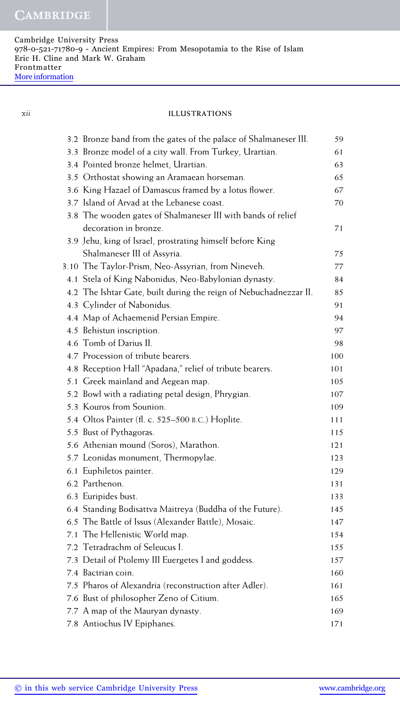### *xii* **ILLUSTRATIONS**

|     | 3.2 Bronze band from the gates of the palace of Shalmaneser III.  | 59  |
|-----|-------------------------------------------------------------------|-----|
|     | 3.3 Bronze model of a city wall. From Turkey, Urartian.           | 61  |
|     | 3.4 Pointed bronze helmet, Urartian.                              | 63  |
|     | 3.5 Orthostat showing an Aramaean horseman.                       | 65  |
|     | 3.6 King Hazael of Damascus framed by a lotus flower.             | 67  |
|     | 3.7 Island of Arvad at the Lebanese coast.                        | 70  |
|     | 3.8 The wooden gates of Shalmaneser III with bands of relief      |     |
|     | decoration in bronze.                                             | 71  |
|     | 3.9 Jehu, king of Israel, prostrating himself before King         |     |
|     | Shalmaneser III of Assyria.                                       | 75  |
|     | 3.10 The Taylor-Prism, Neo-Assyrian, from Nineveh.                | 77  |
|     | 4.1 Stela of King Nabonidus, Neo-Babylonian dynasty.              | 84  |
|     | 4.2 The Ishtar Gate, built during the reign of Nebuchadnezzar II. | 85  |
|     | 4.3 Cylinder of Nabonidus.                                        | 91  |
|     | 4.4 Map of Achaemenid Persian Empire.                             | 94  |
|     | 4.5 Behistun inscription.                                         | 97  |
|     | 4.6 Tomb of Darius II.                                            | 98  |
|     | 4.7 Procession of tribute bearers.                                | 100 |
|     | 4.8 Reception Hall "Apadana," relief of tribute bearers.          | 101 |
|     | 5.1 Greek mainland and Aegean map.                                | 105 |
|     | 5.2 Bowl with a radiating petal design, Phrygian.                 | 107 |
|     | 5.3 Kouros from Sounion.                                          | 109 |
|     | 5.4 Oltos Painter (fl. c. 525–500 B.C.) Hoplite.                  | 111 |
|     | 5.5 Bust of Pythagoras.                                           | 115 |
|     | 5.6 Athenian mound (Soros), Marathon.                             | 121 |
|     | 5.7 Leonidas monument, Thermopylae.                               | 123 |
|     | 6.1 Euphiletos painter.                                           | 129 |
|     | 6.2 Parthenon.                                                    | 131 |
|     | 6.3 Euripides bust.                                               | 133 |
|     | 6.4 Standing Bodisattva Maitreya (Buddha of the Future).          | 145 |
|     | 6.5 The Battle of Issus (Alexander Battle), Mosaic.               | 147 |
| 7.1 | The Hellenistic World map.                                        | 154 |
|     | 7.2 Tetradrachm of Seleucus I.                                    | 155 |
|     | 7.3 Detail of Ptolemy III Euergetes I and goddess.                | 157 |
|     | 7.4 Bactrian coin.                                                | 160 |
|     | 7.5 Pharos of Alexandria (reconstruction after Adler).            | 161 |
|     | 7.6 Bust of philosopher Zeno of Citium.                           | 165 |
|     | 7.7 A map of the Mauryan dynasty.                                 | 169 |
|     | 7.8 Antiochus IV Epiphanes.                                       | 171 |
|     |                                                                   |     |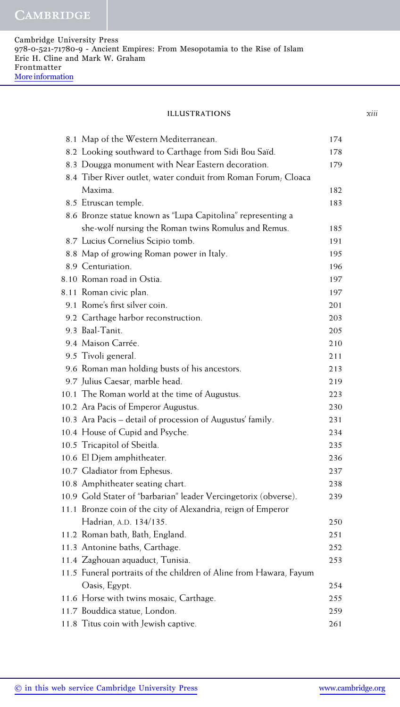### **ILLUSTRATIONS** *xiii*

| 8.1 Map of the Western Mediterranean.                              | 174 |
|--------------------------------------------------------------------|-----|
| 8.2 Looking southward to Carthage from Sidi Bou Saïd.              | 178 |
| 8.3 Dougga monument with Near Eastern decoration.                  | 179 |
| 8.4 Tiber River outlet, water conduit from Roman Forum, Cloaca     |     |
| Maxima.                                                            | 182 |
| 8.5 Etruscan temple.                                               | 183 |
| 8.6 Bronze statue known as "Lupa Capitolina" representing a        |     |
| she-wolf nursing the Roman twins Romulus and Remus.                | 185 |
| 8.7 Lucius Cornelius Scipio tomb.                                  | 191 |
| 8.8 Map of growing Roman power in Italy.                           | 195 |
| 8.9 Centuriation.                                                  | 196 |
| 8.10 Roman road in Ostia.                                          | 197 |
| 8.11 Roman civic plan.                                             | 197 |
| 9.1 Rome's first silver coin.                                      | 201 |
| 9.2 Carthage harbor reconstruction.                                | 203 |
| 9.3 Baal-Tanit.                                                    | 205 |
| 9.4 Maison Carrée.                                                 | 210 |
| 9.5 Tivoli general.                                                | 211 |
| 9.6 Roman man holding busts of his ancestors.                      | 213 |
| 9.7 Julius Caesar, marble head.                                    | 219 |
| 10.1 The Roman world at the time of Augustus.                      | 223 |
| 10.2 Ara Pacis of Emperor Augustus.                                | 230 |
| 10.3 Ara Pacis – detail of procession of Augustus' family.         | 231 |
| 10.4 House of Cupid and Psyche.                                    | 234 |
| 10.5 Tricapitol of Sbeitla.                                        | 235 |
| 10.6 El Djem amphitheater.                                         | 236 |
| 10.7 Gladiator from Ephesus.                                       | 237 |
| 10.8 Amphitheater seating chart.                                   | 238 |
| 10.9 Gold Stater of "barbarian" leader Vercingetorix (obverse).    | 239 |
| 11.1 Bronze coin of the city of Alexandria, reign of Emperor       |     |
| Hadrian, A.D. 134/135.                                             | 250 |
| 11.2 Roman bath, Bath, England.                                    | 251 |
| 11.3 Antonine baths, Carthage.                                     | 252 |
| 11.4 Zaghouan aquaduct, Tunisia.                                   | 253 |
| 11.5 Funeral portraits of the children of Aline from Hawara, Fayum |     |
| Oasis, Egypt.                                                      | 254 |
| 11.6 Horse with twins mosaic, Carthage.                            | 255 |
| 11.7 Bouddica statue, London.                                      | 259 |
| 11.8 Titus coin with Jewish captive.                               | 261 |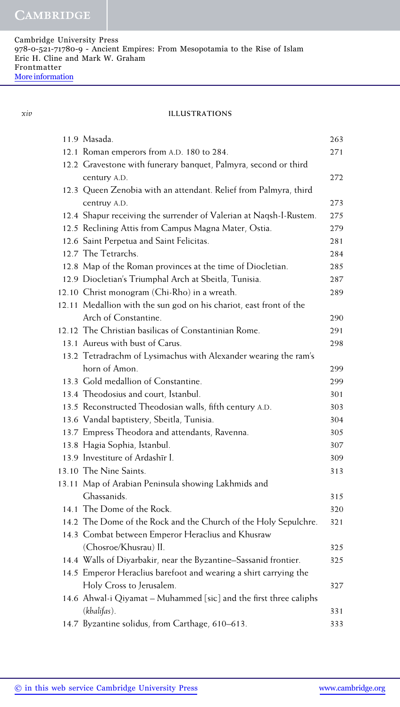*xiv* **ILLUSTRATIONS**

| 11.9 Masada.                                                       | 263 |
|--------------------------------------------------------------------|-----|
| 12.1 Roman emperors from A.D. 180 to 284.                          | 271 |
| 12.2 Gravestone with funerary banquet, Palmyra, second or third    |     |
| century A.D.                                                       | 272 |
| 12.3 Queen Zenobia with an attendant. Relief from Palmyra, third   |     |
| centruy A.D.                                                       | 273 |
| 12.4 Shapur receiving the surrender of Valerian at Naqsh-I-Rustem. | 275 |
| 12.5 Reclining Attis from Campus Magna Mater, Ostia.               | 279 |
| 12.6 Saint Perpetua and Saint Felicitas.                           | 281 |
| 12.7 The Tetrarchs.                                                | 284 |
| 12.8 Map of the Roman provinces at the time of Diocletian.         | 285 |
| 12.9 Diocletian's Triumphal Arch at Sbeitla, Tunisia.              | 287 |
| 12.10 Christ monogram (Chi-Rho) in a wreath.                       | 289 |
| 12.11 Medallion with the sun god on his chariot, east front of the |     |
| Arch of Constantine.                                               | 290 |
| 12.12 The Christian basilicas of Constantinian Rome.               | 291 |
| 13.1 Aureus with bust of Carus.                                    | 298 |
| 13.2 Tetradrachm of Lysimachus with Alexander wearing the ram's    |     |
| horn of Amon.                                                      | 299 |
| 13.3 Gold medallion of Constantine.                                | 299 |
| 13.4 Theodosius and court, Istanbul.                               | 301 |
| 13.5 Reconstructed Theodosian walls, fifth century A.D.            | 303 |
| 13.6 Vandal baptistery, Sbeitla, Tunisia.                          | 304 |
| 13.7 Empress Theodora and attendants, Ravenna.                     | 305 |
| 13.8 Hagia Sophia, Istanbul.                                       | 307 |
| 13.9 Investiture of Ardashīr I.                                    | 309 |
| 13.10 The Nine Saints.                                             | 313 |
| 13.11 Map of Arabian Peninsula showing Lakhmids and                |     |
| Ghassanids.                                                        | 315 |
| 14.1 The Dome of the Rock.                                         | 320 |
| 14.2 The Dome of the Rock and the Church of the Holy Sepulchre.    | 321 |
| 14.3 Combat between Emperor Heraclius and Khusraw                  |     |
| (Chosroe/Khusrau) II.                                              | 325 |
| 14.4 Walls of Diyarbakir, near the Byzantine-Sassanid frontier.    | 325 |
| 14.5 Emperor Heraclius barefoot and wearing a shirt carrying the   |     |
| Holy Cross to Jerusalem.                                           | 327 |
| 14.6 Ahwal-i Qiyamat - Muhammed [sic] and the first three caliphs  |     |
| (khalifas).                                                        | 331 |
| 14.7 Byzantine solidus, from Carthage, 610-613.                    | 333 |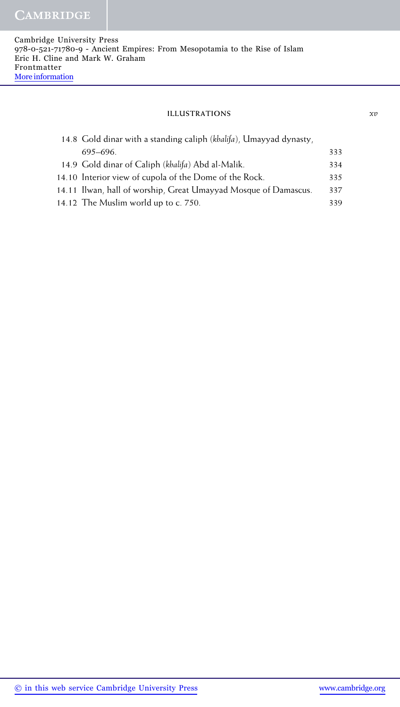### **ILLUSTRATIONS** *xv*

| 14.8 Gold dinar with a standing caliph (khalifa), Umayyad dynasty, |     |
|--------------------------------------------------------------------|-----|
| 695–696.                                                           | 333 |
| 14.9 Gold dinar of Caliph (khalifa) Abd al-Malik.                  | 334 |
| 14.10 Interior view of cupola of the Dome of the Rock.             | 335 |
| 14.11 Ilwan, hall of worship, Great Umayyad Mosque of Damascus.    | 337 |
| 14.12 The Muslim world up to c. 750.                               | 339 |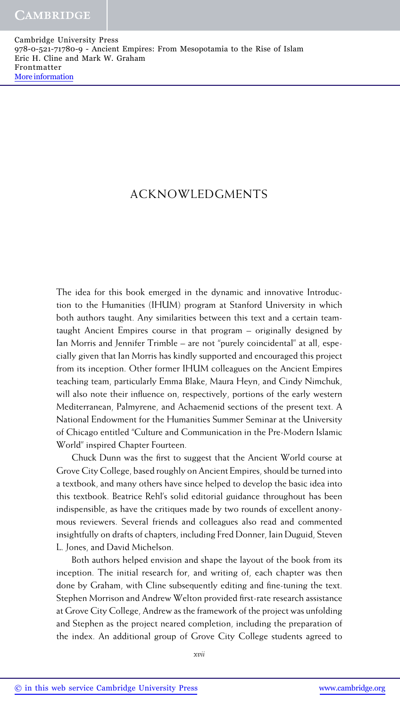## ACKNOWLEDGMENTS

The idea for this book emerged in the dynamic and innovative Introduction to the Humanities (IHUM) program at Stanford University in which both authors taught. Any similarities between this text and a certain teamtaught Ancient Empires course in that program – originally designed by Ian Morris and Jennifer Trimble – are not "purely coincidental" at all, especially given that Ian Morris has kindly supported and encouraged this project from its inception. Other former IHUM colleagues on the Ancient Empires teaching team, particularly Emma Blake, Maura Heyn, and Cindy Nimchuk, will also note their influence on, respectively, portions of the early western Mediterranean, Palmyrene, and Achaemenid sections of the present text. A National Endowment for the Humanities Summer Seminar at the University of Chicago entitled "Culture and Communication in the Pre-Modern Islamic World" inspired Chapter Fourteen.

Chuck Dunn was the first to suggest that the Ancient World course at Grove City College, based roughly on Ancient Empires, should be turned into a textbook, and many others have since helped to develop the basic idea into this textbook. Beatrice Rehl's solid editorial guidance throughout has been indispensible, as have the critiques made by two rounds of excellent anonymous reviewers. Several friends and colleagues also read and commented insightfully on drafts of chapters, including Fred Donner, Iain Duguid, Steven L. Jones, and David Michelson.

Both authors helped envision and shape the layout of the book from its inception. The initial research for, and writing of, each chapter was then done by Graham, with Cline subsequently editing and fine-tuning the text. Stephen Morrison and Andrew Welton provided first-rate research assistance at Grove City College, Andrew as the framework of the project was unfolding and Stephen as the project neared completion, including the preparation of the index. An additional group of Grove City College students agreed to